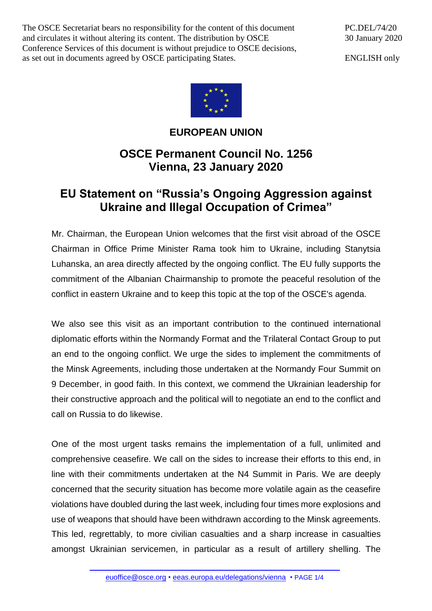The OSCE Secretariat bears no responsibility for the content of this document and circulates it without altering its content. The distribution by OSCE Conference Services of this document is without prejudice to OSCE decisions, as set out in documents agreed by OSCE participating States.

PC.DEL/74/20 30 January 2020

ENGLISH only



## **EUROPEAN UNION**

## **OSCE Permanent Council No. 1256 Vienna, 23 January 2020**

## **EU Statement on "Russia's Ongoing Aggression against Ukraine and Illegal Occupation of Crimea"**

Mr. Chairman, the European Union welcomes that the first visit abroad of the OSCE Chairman in Office Prime Minister Rama took him to Ukraine, including Stanytsia Luhanska, an area directly affected by the ongoing conflict. The EU fully supports the commitment of the Albanian Chairmanship to promote the peaceful resolution of the conflict in eastern Ukraine and to keep this topic at the top of the OSCE's agenda.

We also see this visit as an important contribution to the continued international diplomatic efforts within the Normandy Format and the Trilateral Contact Group to put an end to the ongoing conflict. We urge the sides to implement the commitments of the Minsk Agreements, including those undertaken at the Normandy Four Summit on 9 December, in good faith. In this context, we commend the Ukrainian leadership for their constructive approach and the political will to negotiate an end to the conflict and call on Russia to do likewise.

One of the most urgent tasks remains the implementation of a full, unlimited and comprehensive ceasefire. We call on the sides to increase their efforts to this end, in line with their commitments undertaken at the N4 Summit in Paris. We are deeply concerned that the security situation has become more volatile again as the ceasefire violations have doubled during the last week, including four times more explosions and use of weapons that should have been withdrawn according to the Minsk agreements. This led, regrettably, to more civilian casualties and a sharp increase in casualties amongst Ukrainian servicemen, in particular as a result of artillery shelling. The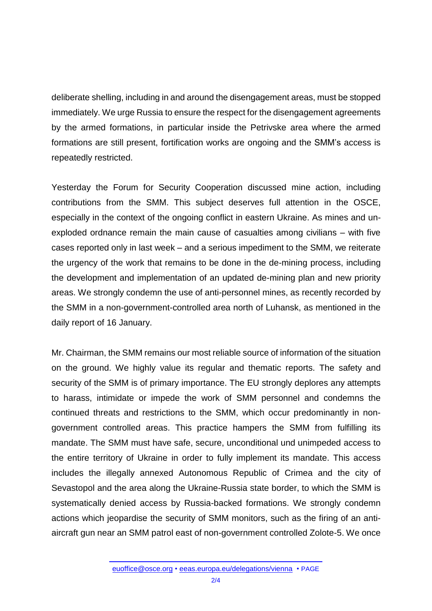deliberate shelling, including in and around the disengagement areas, must be stopped immediately. We urge Russia to ensure the respect for the disengagement agreements by the armed formations, in particular inside the Petrivske area where the armed formations are still present, fortification works are ongoing and the SMM's access is repeatedly restricted.

Yesterday the Forum for Security Cooperation discussed mine action, including contributions from the SMM. This subject deserves full attention in the OSCE, especially in the context of the ongoing conflict in eastern Ukraine. As mines and unexploded ordnance remain the main cause of casualties among civilians – with five cases reported only in last week – and a serious impediment to the SMM, we reiterate the urgency of the work that remains to be done in the de-mining process, including the development and implementation of an updated de-mining plan and new priority areas. We strongly condemn the use of anti-personnel mines, as recently recorded by the SMM in a non-government-controlled area north of Luhansk, as mentioned in the daily report of 16 January.

Mr. Chairman, the SMM remains our most reliable source of information of the situation on the ground. We highly value its regular and thematic reports. The safety and security of the SMM is of primary importance. The EU strongly deplores any attempts to harass, intimidate or impede the work of SMM personnel and condemns the continued threats and restrictions to the SMM, which occur predominantly in nongovernment controlled areas. This practice hampers the SMM from fulfilling its mandate. The SMM must have safe, secure, unconditional und unimpeded access to the entire territory of Ukraine in order to fully implement its mandate. This access includes the illegally annexed Autonomous Republic of Crimea and the city of Sevastopol and the area along the Ukraine-Russia state border, to which the SMM is systematically denied access by Russia-backed formations. We strongly condemn actions which jeopardise the security of SMM monitors, such as the firing of an antiaircraft gun near an SMM patrol east of non-government controlled Zolote-5. We once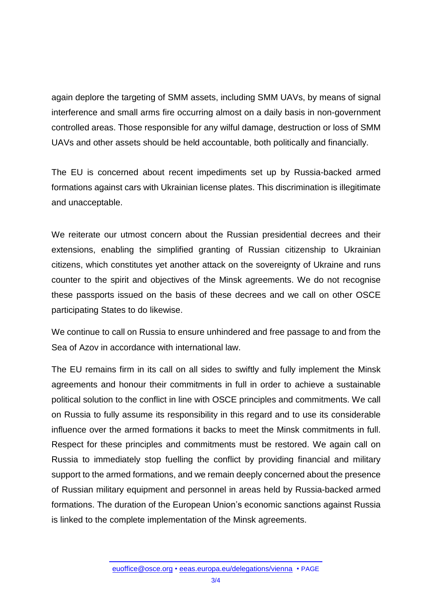again deplore the targeting of SMM assets, including SMM UAVs, by means of signal interference and small arms fire occurring almost on a daily basis in non-government controlled areas. Those responsible for any wilful damage, destruction or loss of SMM UAVs and other assets should be held accountable, both politically and financially.

The EU is concerned about recent impediments set up by Russia-backed armed formations against cars with Ukrainian license plates. This discrimination is illegitimate and unacceptable.

We reiterate our utmost concern about the Russian presidential decrees and their extensions, enabling the simplified granting of Russian citizenship to Ukrainian citizens, which constitutes yet another attack on the sovereignty of Ukraine and runs counter to the spirit and objectives of the Minsk agreements. We do not recognise these passports issued on the basis of these decrees and we call on other OSCE participating States to do likewise.

We continue to call on Russia to ensure unhindered and free passage to and from the Sea of Azov in accordance with international law.

The EU remains firm in its call on all sides to swiftly and fully implement the Minsk agreements and honour their commitments in full in order to achieve a sustainable political solution to the conflict in line with OSCE principles and commitments. We call on Russia to fully assume its responsibility in this regard and to use its considerable influence over the armed formations it backs to meet the Minsk commitments in full. Respect for these principles and commitments must be restored. We again call on Russia to immediately stop fuelling the conflict by providing financial and military support to the armed formations, and we remain deeply concerned about the presence of Russian military equipment and personnel in areas held by Russia-backed armed formations. The duration of the European Union's economic sanctions against Russia is linked to the complete implementation of the Minsk agreements.